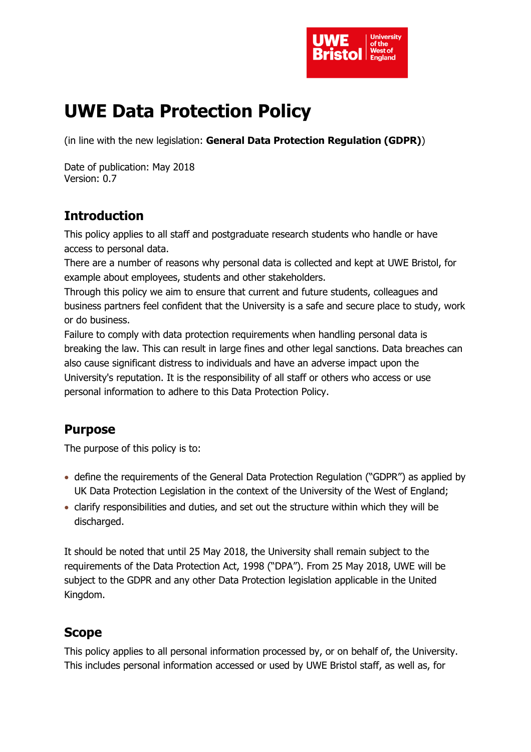

# **UWE Data Protection Policy**

(in line with the new legislation: **General Data Protection Regulation (GDPR)**)

Date of publication: May 2018 Version: 0.7

# **Introduction**

This policy applies to all staff and postgraduate research students who handle or have access to personal data.

There are a number of reasons why personal data is collected and kept at UWE Bristol, for example about employees, students and other stakeholders.

Through this policy we aim to ensure that current and future students, colleagues and business partners feel confident that the University is a safe and secure place to study, work or do business.

Failure to comply with data protection requirements when handling personal data is breaking the law. This can result in large fines and other legal sanctions. Data breaches can also cause significant distress to individuals and have an adverse impact upon the University's reputation. It is the responsibility of all staff or others who access or use personal information to adhere to this Data Protection Policy.

### **Purpose**

The purpose of this policy is to:

- define the requirements of the General Data Protection Regulation ("GDPR") as applied by UK Data Protection Legislation in the context of the University of the West of England;
- clarify responsibilities and duties, and set out the structure within which they will be discharged.

It should be noted that until 25 May 2018, the University shall remain subject to the requirements of the Data Protection Act, 1998 ("DPA"). From 25 May 2018, UWE will be subject to the GDPR and any other Data Protection legislation applicable in the United Kingdom.

# **Scope**

This policy applies to all personal information processed by, or on behalf of, the University. This includes personal information accessed or used by UWE Bristol staff, as well as, for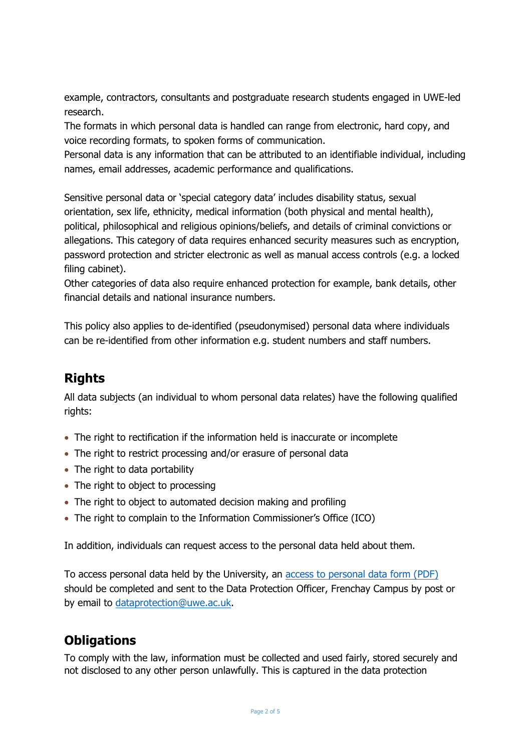example, contractors, consultants and postgraduate research students engaged in UWE-led research.

The formats in which personal data is handled can range from electronic, hard copy, and voice recording formats, to spoken forms of communication.

Personal data is any information that can be attributed to an identifiable individual, including names, email addresses, academic performance and qualifications.

Sensitive personal data or 'special category data' includes disability status, sexual orientation, sex life, ethnicity, medical information (both physical and mental health), political, philosophical and religious opinions/beliefs, and details of criminal convictions or allegations. This category of data requires enhanced security measures such as encryption, password protection and stricter electronic as well as manual access controls (e.g. a locked filing cabinet).

Other categories of data also require enhanced protection for example, bank details, other financial details and national insurance numbers.

This policy also applies to de-identified (pseudonymised) personal data where individuals can be re-identified from other information e.g. student numbers and staff numbers.

### **Rights**

All data subjects (an individual to whom personal data relates) have the following qualified rights:

- The right to rectification if the information held is inaccurate or incomplete
- The right to restrict processing and/or erasure of personal data
- The right to data portability
- The right to object to processing
- The right to object to automated decision making and profiling
- The right to complain to the Information Commissioner's Office (ICO)

In addition, individuals can request access to the personal data held about them.

To access personal data held by the University, an access to [personal](http://www2.uwe.ac.uk/services/Marketing/about-us/pdf/DPLUAccess.pdf) data form (PDF) should be completed and sent to the Data Protection Officer, Frenchay Campus by post or by email to [dataprotection@uwe.ac.uk.](mailto:dataprotection@uwe.ac.uk)

### **Obligations**

To comply with the law, information must be collected and used fairly, stored securely and not disclosed to any other person unlawfully. This is captured in the data protection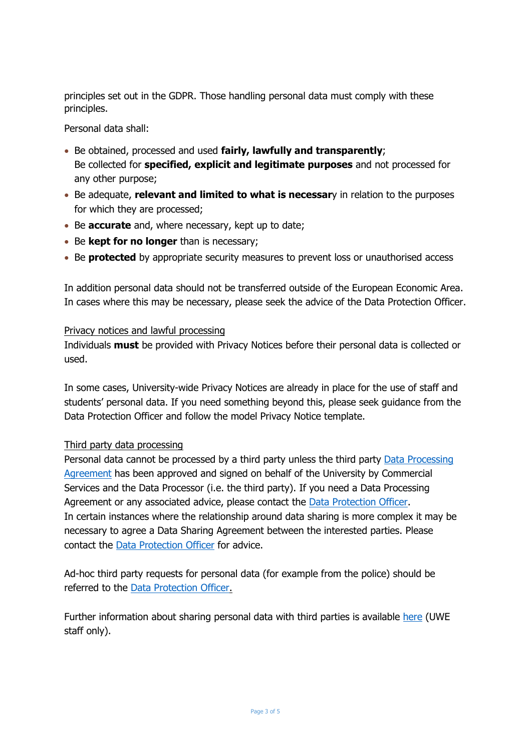principles set out in the GDPR. Those handling personal data must comply with these principles.

Personal data shall:

- Be obtained, processed and used **fairly, lawfully and transparently**; Be collected for **specified, explicit and legitimate purposes** and not processed for any other purpose;
- Be adequate, **relevant and limited to what is necessar**y in relation to the purposes for which they are processed;
- **Be accurate** and, where necessary, kept up to date;
- Be **kept for no longer** than is necessary;
- **Be protected** by appropriate security measures to prevent loss or unauthorised access

In addition personal data should not be transferred outside of the European Economic Area. In cases where this may be necessary, please seek the advice of the Data Protection Officer.

#### Privacy notices and lawful processing

Individuals **must** be provided with Privacy Notices before their personal data is collected or used.

In some cases, University-wide Privacy Notices are already in place for the use of staff and students' personal data. If you need something beyond this, please seek guidance from the Data Protection Officer and follow the model Privacy Notice template.

#### Third party data processing

Personal data cannot be processed by a third party unless the third party Data [Processing](https://docs.uwe.ac.uk/ou/finance/_layouts/15/download.aspx?SourceUrl=https://docs.uwe.ac.uk/ou/finance/Data%20Protection%20Documents/Model%20DPA%20GDPR%20Final.doc) [Agreement](https://docs.uwe.ac.uk/ou/finance/_layouts/15/download.aspx?SourceUrl=https://docs.uwe.ac.uk/ou/finance/Data%20Protection%20Documents/Model%20DPA%20GDPR%20Final.doc) has been approved and signed on behalf of the University by Commercial Services and the Data Processor (i.e. the third party). If you need a Data Processing Agreement or any associated advice, please contact the **Data [Protection](mailto:dataprotection@uwe.ac.uk) Officer**. In certain instances where the relationship around data sharing is more complex it may be necessary to agree a Data Sharing Agreement between the interested parties. Please contact the Data [Protection](mailto:dataprotection@uwe.ac.uk) Officer for advice.

Ad-hoc third party requests for personal data (for example from the police) should be referred to the Data [Protection](mailto:dataprotection@uwe.ac.uk) Officer.

Further information about sharing personal data with third parties is available [here](https://intranet.uwe.ac.uk/tasks-guides/Guide/data-protection#part4) (UWE staff only).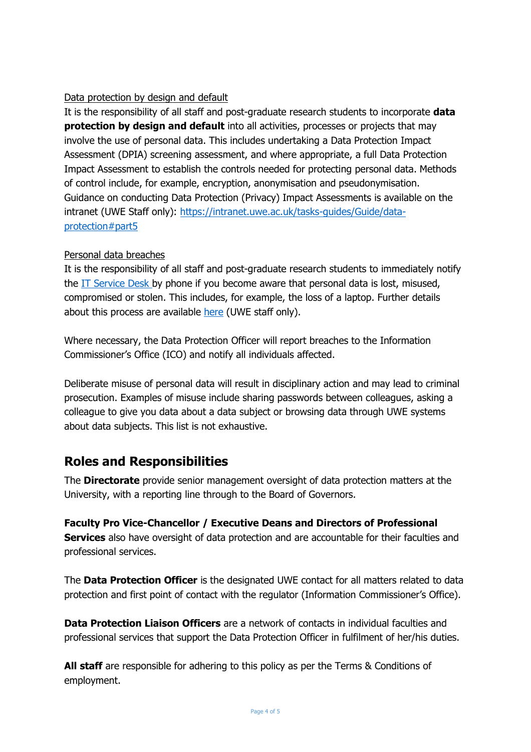#### Data protection by design and default

It is the responsibility of all staff and post-graduate research students to incorporate **data protection by design and default** into all activities, processes or projects that may involve the use of personal data. This includes undertaking a Data Protection Impact Assessment (DPIA) screening assessment, and where appropriate, a full Data Protection Impact Assessment to establish the controls needed for protecting personal data. Methods of control include, for example, encryption, anonymisation and pseudonymisation. Guidance on conducting Data Protection (Privacy) Impact Assessments is available on the intranet (UWE Staff only): [https://intranet.uwe.ac.uk/tasks-guides/Guide/data](https://intranet.uwe.ac.uk/tasks-guides/Guide/data-protection#part5)[protection#part5](https://intranet.uwe.ac.uk/tasks-guides/Guide/data-protection#part5)

#### Personal data breaches

It is the responsibility of all staff and post-graduate research students to immediately notify the IT [Service](http://www1.uwe.ac.uk/its/itsupportcentre/helpdeskcontact.aspx) Desk by phone if you become aware that personal data is lost, misused, compromised or stolen. This includes, for example, the loss of a laptop. Further details about this process are available [here](https://intranet.uwe.ac.uk/tasks-guides/Guide/data-security-breach) (UWE staff only).

Where necessary, the Data Protection Officer will report breaches to the Information Commissioner's Office (ICO) and notify all individuals affected.

Deliberate misuse of personal data will result in disciplinary action and may lead to criminal prosecution. Examples of misuse include sharing passwords between colleagues, asking a colleague to give you data about a data subject or browsing data through UWE systems about data subjects. This list is not exhaustive.

### **Roles and Responsibilities**

The **Directorate** provide senior management oversight of data protection matters at the University, with a reporting line through to the Board of Governors.

**Faculty Pro Vice-Chancellor / Executive Deans and Directors of Professional Services** also have oversight of data protection and are accountable for their faculties and professional services.

The **Data Protection Officer** is the designated UWE contact for all matters related to data protection and first point of contact with the regulator (Information Commissioner's Office).

**Data Protection Liaison Officers** are a network of contacts in individual faculties and professional services that support the Data Protection Officer in fulfilment of her/his duties.

**All staff** are responsible for adhering to this policy as per the Terms & Conditions of employment.